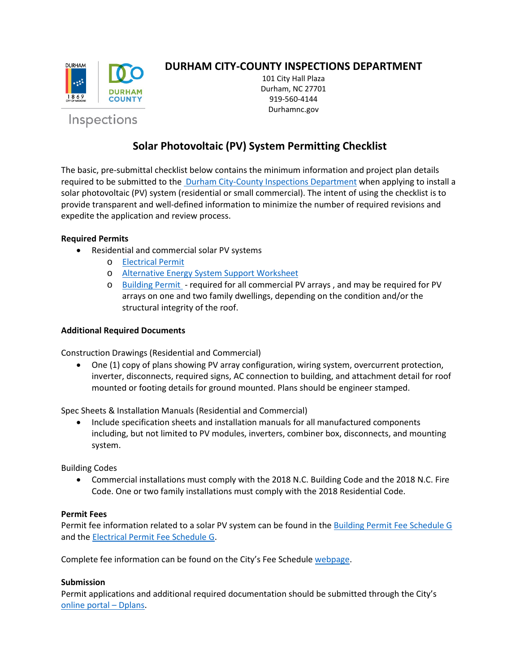

Inspections

## **DURHAM CITY-COUNTY INSPECTIONS DEPARTMENT**

101 City Hall Plaza Durham, NC 27701 919-560-4144 Durhamnc.gov

# **Solar Photovoltaic (PV) System Permitting Checklist**

The basic, pre-submittal checklist below contains the minimum information and project plan details required to be submitted to th[e Durham City-County Inspections Department](https://durhamnc.gov/293/City-County-Inspections) when applying to install a solar photovoltaic (PV) system (residential or small commercial). The intent of using the checklist is to provide transparent and well-defined information to minimize the number of required revisions and expedite the application and review process.

## **Required Permits**

- Residential and commercial solar PV systems
	- o [Electrical Permit](https://durhamnc.gov/DocumentCenter/View/986/Electrical-Application-Form-PDF?bidId=)
	- o [Alternative Energy System Support Worksheet](https://durhamnc.gov/DocumentCenter/View/994/Rooftop-System-Loading-Worksheet-PDF)
	- o [Building Permit](https://durhamnc.gov/DocumentCenter/View/983/Building-Application-Form-PDF?bidId=) required for all commercial PV arrays , and may be required for PV arrays on one and two family dwellings, depending on the condition and/or the structural integrity of the roof.

## **Additional Required Documents**

Construction Drawings (Residential and Commercial)

• One (1) copy of plans showing PV array configuration, wiring system, overcurrent protection, inverter, disconnects, required signs, AC connection to building, and attachment detail for roof mounted or footing details for ground mounted. Plans should be engineer stamped.

Spec Sheets & Installation Manuals (Residential and Commercial)

• Include specification sheets and installation manuals for all manufactured components including, but not limited to PV modules, inverters, combiner box, disconnects, and mounting system.

Building Codes

• Commercial installations must comply with the 2018 N.C. Building Code and the 2018 N.C. Fire Code. One or two family installations must comply with the 2018 Residential Code.

#### **Permit Fees**

Permit fee information related to a solar PV system can be found in the [Building Permit Fee Schedule G](https://durhamnc.gov/DocumentCenter/View/2706/Building-Permits-PDF) and th[e Electrical Permit Fee Schedule G.](https://durhamnc.gov/DocumentCenter/View/1008/Electrical-Permits-PDF)

Complete fee information can be found on the City's Fee Schedule [webpage.](https://durhamnc.gov/302/Fee-Schedules)

#### **Submission**

Permit applications and additional required documentation should be submitted through the City's [online portal –](https://durhamnc.gov/467/Dplans) Dplans.